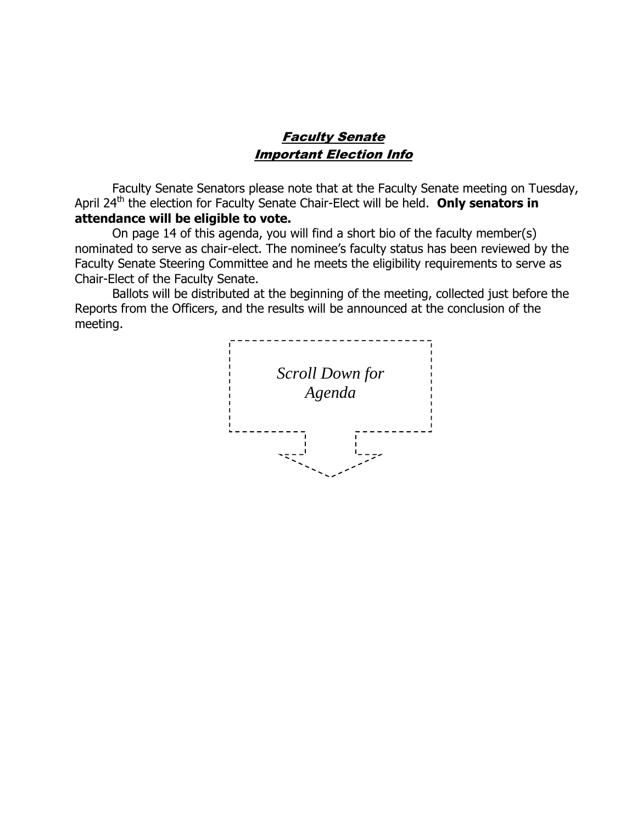# Faculty Senate Important Election Info

Faculty Senate Senators please note that at the Faculty Senate meeting on Tuesday, April 24<sup>th</sup> the election for Faculty Senate Chair-Elect will be held. Only senators in **attendance will be eligible to vote.** 

On page 14 of this agenda, you will find a short bio of the faculty member(s) nominated to serve as chair-elect. The nominee's faculty status has been reviewed by the Faculty Senate Steering Committee and he meets the eligibility requirements to serve as Chair-Elect of the Faculty Senate.

Ballots will be distributed at the beginning of the meeting, collected just before the Reports from the Officers, and the results will be announced at the conclusion of the meeting.

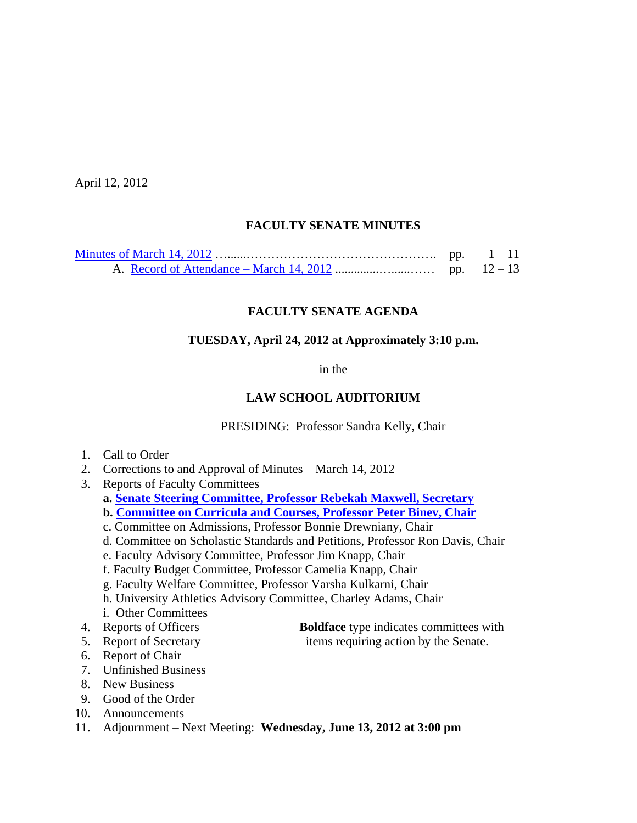April 12, 2012

## **FACULTY SENATE MINUTES**

# **FACULTY SENATE AGENDA**

## **TUESDAY, April 24, 2012 at Approximately 3:10 p.m.**

in the

## **LAW SCHOOL AUDITORIUM**

PRESIDING: Professor Sandra Kelly, Chair

- 1. Call to Order
- 2. Corrections to and Approval of Minutes March 14, 2012
- 3. Reports of Faculty Committees
	- **a. [Senate Steering Committee, Professor Rebekah Maxwell, Secretary](http://www.sc.edu/faculty/senate/12/agenda/0424.BioChairElect.pdf)**
	- **b. [Committee on Curricula and Courses, Professor](http://www.sc.edu/faculty/senate/12/agenda/0424.cc.pdf) Peter Binev, Chair**
	- c. Committee on Admissions, Professor Bonnie Drewniany, Chair
	- d. Committee on Scholastic Standards and Petitions, Professor Ron Davis, Chair
	- e. Faculty Advisory Committee, Professor Jim Knapp, Chair
	- f. Faculty Budget Committee, Professor Camelia Knapp, Chair
	- g. Faculty Welfare Committee, Professor Varsha Kulkarni, Chair
	- h. University Athletics Advisory Committee, Charley Adams, Chair
	- i. Other Committees
- 
- 
- 6. Report of Chair
- 7. Unfinished Business
- 8. New Business
- 9. Good of the Order
- 10. Announcements
- 11. Adjournment Next Meeting: **Wednesday, June 13, 2012 at 3:00 pm**
- 4. Reports of Officers **Boldface** type indicates committees with 5. Report of Secretary items requiring action by the Senate.